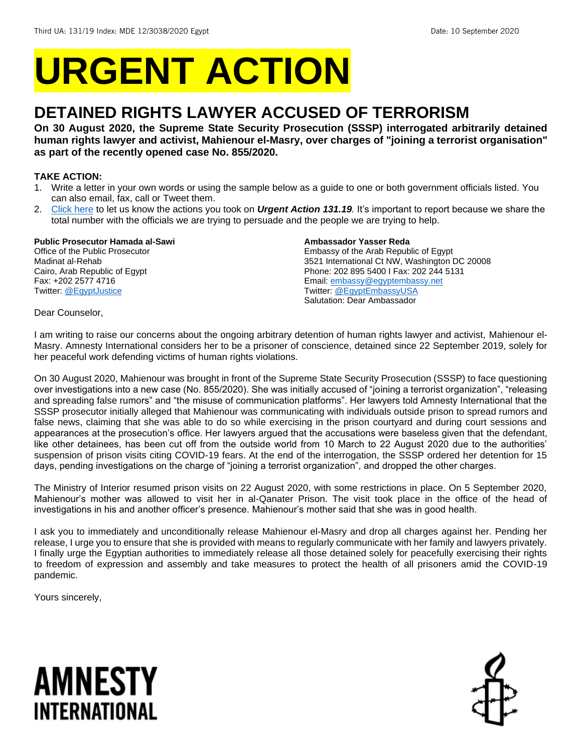# **URGENT ACTION**

## **DETAINED RIGHTS LAWYER ACCUSED OF TERRORISM**

**On 30 August 2020, the Supreme State Security Prosecution (SSSP) interrogated arbitrarily detained human rights lawyer and activist, Mahienour el-Masry, over charges of "joining a terrorist organisation" as part of the recently opened case No. 855/2020.**

### **TAKE ACTION:**

- 1. Write a letter in your own words or using the sample below as a guide to one or both government officials listed. You can also email, fax, call or Tweet them.
- 2. [Click here](https://www.amnestyusa.org/report-urgent-actions/) to let us know the actions you took on *Urgent Action 131.19.* It's important to report because we share the total number with the officials we are trying to persuade and the people we are trying to help.

### **Public Prosecutor Hamada al-Sawi**

Office of the Public Prosecutor Madinat al-Rehab Cairo, Arab Republic of Egypt Fax: +202 2577 4716 Twitter: [@EgyptJustice](https://twitter.com/egyptjustice?lang=en)

### **Ambassador Yasser Reda**

Embassy of the Arab Republic of Egypt 3521 International Ct NW, Washington DC 20008 Phone: 202 895 5400 I Fax: 202 244 5131 Email[: embassy@egyptembassy.net](mailto:embassy@egyptembassy.net) Twitter: [@EgyptEmbassyUSA](https://twitter.com/egyptembassyusa?lang=en) Salutation: Dear Ambassador

### Dear Counselor,

I am writing to raise our concerns about the ongoing arbitrary detention of human rights lawyer and activist, Mahienour el-Masry. Amnesty International considers her to be a prisoner of conscience, detained since 22 September 2019, solely for her peaceful work defending victims of human rights violations.

On 30 August 2020, Mahienour was brought in front of the Supreme State Security Prosecution (SSSP) to face questioning over investigations into a new case (No. 855/2020). She was initially accused of "joining a terrorist organization", "releasing and spreading false rumors" and "the misuse of communication platforms". Her lawyers told Amnesty International that the SSSP prosecutor initially alleged that Mahienour was communicating with individuals outside prison to spread rumors and false news, claiming that she was able to do so while exercising in the prison courtyard and during court sessions and appearances at the prosecution's office. Her lawyers argued that the accusations were baseless given that the defendant, like other detainees, has been cut off from the outside world from 10 March to 22 August 2020 due to the authorities' suspension of prison visits citing COVID-19 fears. At the end of the interrogation, the SSSP ordered her detention for 15 days, pending investigations on the charge of "joining a terrorist organization", and dropped the other charges.

The Ministry of Interior resumed prison visits on 22 August 2020, with some restrictions in place. On 5 September 2020, Mahienour's mother was allowed to visit her in al-Qanater Prison. The visit took place in the office of the head of investigations in his and another officer's presence. Mahienour's mother said that she was in good health.

I ask you to immediately and unconditionally release Mahienour el-Masry and drop all charges against her. Pending her release, I urge you to ensure that she is provided with means to regularly communicate with her family and lawyers privately. I finally urge the Egyptian authorities to immediately release all those detained solely for peacefully exercising their rights to freedom of expression and assembly and take measures to protect the health of all prisoners amid the COVID-19 pandemic.

Yours sincerely,

# AMNESTY INTERNATIONAL